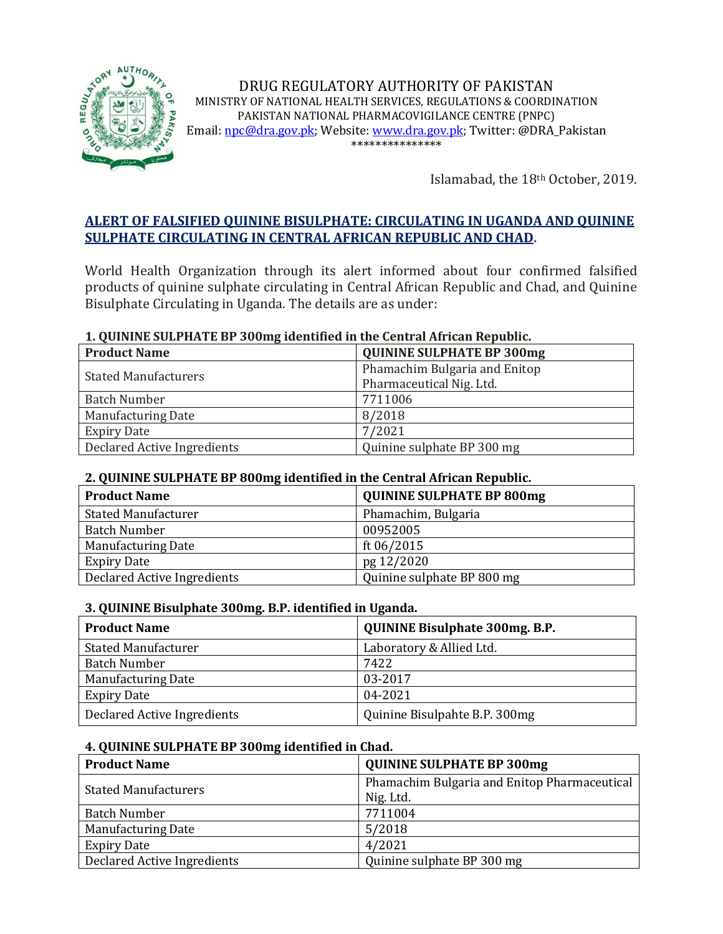

DRUG REGULATORY AUTHORITY OF PAKISTAN MINISTRY OF NATIONAL HEALTH SERVICES, REGULATIONS & COORDINATION PAKISTAN NATIONAL PHARMACOVIGILANCE CENTRE (PNPC) Email[: npc@dra.gov.pk;](mailto:npc@dra.gov.pk) Website[: www.dra.gov.pk;](http://www.dra.gov.pk/) Twitter: @DRA\_Pakistan \*\*\*\*\*\*\*\*\*\*\*\*\*\*\*

Islamabad, the 18th October, 2019.

# **ALERT OF FALSIFIED QUININE BISULPHATE: CIRCULATING IN UGANDA AND QUININE SULPHATE CIRCULATING IN CENTRAL AFRICAN REPUBLIC AND CHAD.**

World Health Organization through its alert informed about four confirmed falsified products of quinine sulphate circulating in Central African Republic and Chad, and Quinine Bisulphate Circulating in Uganda. The details are as under:

#### **1. QUININE SULPHATE BP 300mg identified in the Central African Republic.**

| <b>Product Name</b>         | <b>QUININE SULPHATE BP 300mg</b> |
|-----------------------------|----------------------------------|
| <b>Stated Manufacturers</b> | Phamachim Bulgaria and Enitop    |
|                             | Pharmaceutical Nig. Ltd.         |
| <b>Batch Number</b>         | 7711006                          |
| <b>Manufacturing Date</b>   | 8/2018                           |
| <b>Expiry Date</b>          | 7/2021                           |
| Declared Active Ingredients | Quinine sulphate BP 300 mg       |

#### **2. QUININE SULPHATE BP 800mg identified in the Central African Republic.**

| <b>Product Name</b>         | <b>QUININE SULPHATE BP 800mg</b> |
|-----------------------------|----------------------------------|
| <b>Stated Manufacturer</b>  | Phamachim, Bulgaria              |
| <b>Batch Number</b>         | 00952005                         |
| <b>Manufacturing Date</b>   | ft 06/2015                       |
| <b>Expiry Date</b>          | pg 12/2020                       |
| Declared Active Ingredients | Quinine sulphate BP 800 mg       |

#### **3. QUININE Bisulphate 300mg. B.P. identified in Uganda.**

| <b>Product Name</b>         | <b>QUININE Bisulphate 300mg. B.P.</b> |
|-----------------------------|---------------------------------------|
| <b>Stated Manufacturer</b>  | Laboratory & Allied Ltd.              |
| <b>Batch Number</b>         | 7422                                  |
| <b>Manufacturing Date</b>   | 03-2017                               |
| <b>Expiry Date</b>          | 04-2021                               |
| Declared Active Ingredients | Quinine Bisulpahte B.P. 300mg         |

#### **4. QUININE SULPHATE BP 300mg identified in Chad.**

| <b>Product Name</b>         | <b>QUININE SULPHATE BP 300mg</b>             |
|-----------------------------|----------------------------------------------|
| <b>Stated Manufacturers</b> | Phamachim Bulgaria and Enitop Pharmaceutical |
|                             | Nig. Ltd.                                    |
| <b>Batch Number</b>         | 7711004                                      |
| <b>Manufacturing Date</b>   | 5/2018                                       |
| <b>Expiry Date</b>          | 4/2021                                       |
| Declared Active Ingredients | Quinine sulphate BP 300 mg                   |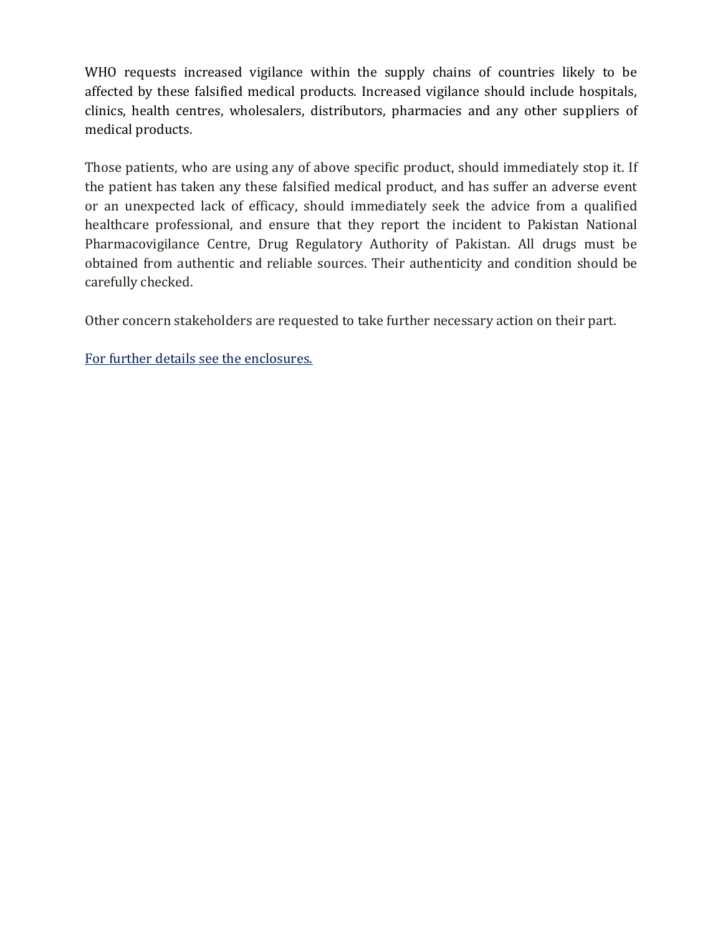WHO requests increased vigilance within the supply chains of countries likely to be affected by these falsified medical products. Increased vigilance should include hospitals, clinics, health centres, wholesalers, distributors, pharmacies and any other suppliers of medical products.

Those patients, who are using any of above specific product, should immediately stop it. If the patient has taken any these falsified medical product, and has suffer an adverse event or an unexpected lack of efficacy, should immediately seek the advice from a qualified healthcare professional, and ensure that they report the incident to Pakistan National Pharmacovigilance Centre, Drug Regulatory Authority of Pakistan. All drugs must be obtained from authentic and reliable sources. Their authenticity and condition should be carefully checked.

Other concern stakeholders are requested to take further necessary action on their part.

For further details see the enclosures.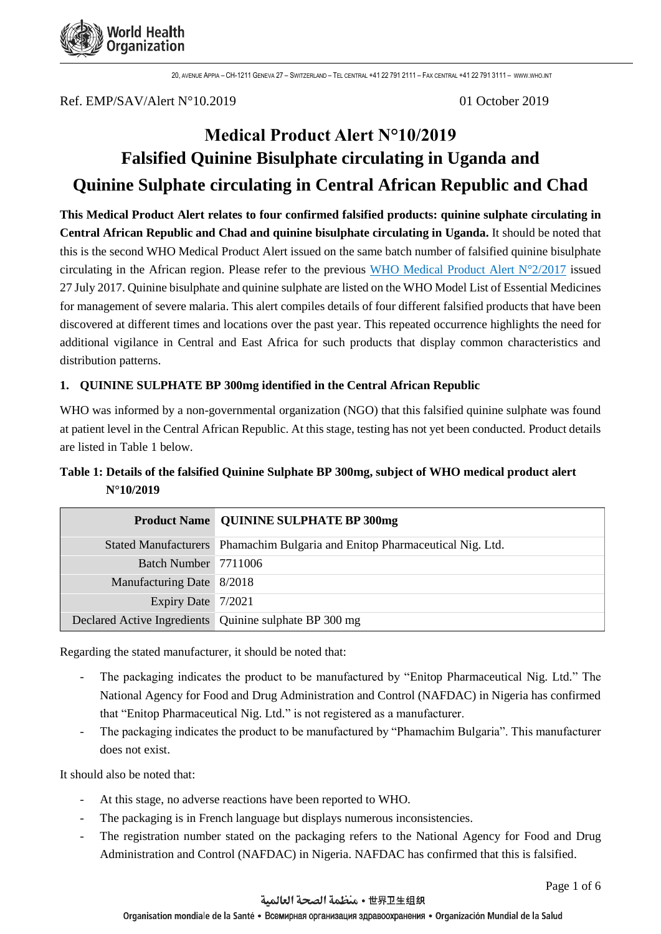

Ref. EMP/SAV/Alert N°10.2019 01 October 2019

# **Medical Product Alert N°10/2019 Falsified Quinine Bisulphate circulating in Uganda and Quinine Sulphate circulating in Central African Republic and Chad**

**This Medical Product Alert relates to four confirmed falsified products: quinine sulphate circulating in Central African Republic and Chad and quinine bisulphate circulating in Uganda.** It should be noted that this is the second WHO Medical Product Alert issued on the same batch number of falsified quinine bisulphate circulating in the African region. Please refer to the previous WHO Medical Product Alert  $N^{\circ}2/2017$  issued 27 July 2017. Quinine bisulphate and quinine sulphate are listed on the WHO Model List of Essential Medicines for management of severe malaria. This alert compiles details of four different falsified products that have been discovered at different times and locations over the past year. This repeated occurrence highlights the need for additional vigilance in Central and East Africa for such products that display common characteristics and distribution patterns.

# **1. QUININE SULPHATE BP 300mg identified in the Central African Republic**

WHO was informed by a non-governmental organization (NGO) that this falsified quinine sulphate was found at patient level in the Central African Republic. At this stage, testing has not yet been conducted. Product details are listed in Table 1 below.

# **Table 1: Details of the falsified Quinine Sulphate BP 300mg, subject of WHO medical product alert N°10/2019**

|                           | <b>Product Name   QUININE SULPHATE BP 300mg</b>                             |
|---------------------------|-----------------------------------------------------------------------------|
|                           | Stated Manufacturers Phamachim Bulgaria and Enitop Pharmaceutical Nig. Ltd. |
| Batch Number 7711006      |                                                                             |
| Manufacturing Date 8/2018 |                                                                             |
| Expiry Date 7/2021        |                                                                             |
|                           | Declared Active Ingredients Quinine sulphate BP 300 mg                      |

Regarding the stated manufacturer, it should be noted that:

- The packaging indicates the product to be manufactured by "Enitop Pharmaceutical Nig. Ltd." The National Agency for Food and Drug Administration and Control (NAFDAC) in Nigeria has confirmed that "Enitop Pharmaceutical Nig. Ltd." is not registered as a manufacturer.
- The packaging indicates the product to be manufactured by "Phamachim Bulgaria". This manufacturer does not exist.

It should also be noted that:

- At this stage, no adverse reactions have been reported to WHO.
- The packaging is in French language but displays numerous inconsistencies.
- The registration number stated on the packaging refers to the National Agency for Food and Drug Administration and Control (NAFDAC) in Nigeria. NAFDAC has confirmed that this is falsified.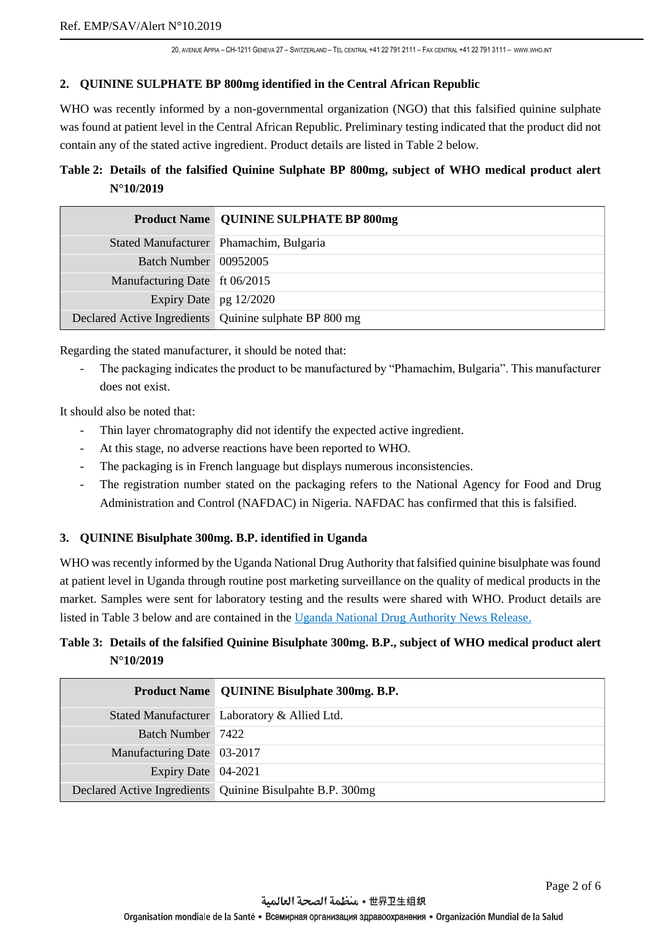#### **2. QUININE SULPHATE BP 800mg identified in the Central African Republic**

WHO was recently informed by a non-governmental organization (NGO) that this falsified quinine sulphate was found at patient level in the Central African Republic. Preliminary testing indicated that the product did not contain any of the stated active ingredient. Product details are listed in Table 2 below.

# **Table 2: Details of the falsified Quinine Sulphate BP 800mg, subject of WHO medical product alert N°10/2019**

|                               | <b>Product Name   QUININE SULPHATE BP 800mg</b>        |
|-------------------------------|--------------------------------------------------------|
|                               | Stated Manufacturer Phamachim, Bulgaria                |
| Batch Number 00952005         |                                                        |
| Manufacturing Date ft 06/2015 |                                                        |
| Expiry Date $pg$ 12/2020      |                                                        |
|                               | Declared Active Ingredients Quinine sulphate BP 800 mg |

Regarding the stated manufacturer, it should be noted that:

The packaging indicates the product to be manufactured by "Phamachim, Bulgaria". This manufacturer does not exist.

It should also be noted that:

- Thin layer chromatography did not identify the expected active ingredient.
- At this stage, no adverse reactions have been reported to WHO.
- The packaging is in French language but displays numerous inconsistencies.
- The registration number stated on the packaging refers to the National Agency for Food and Drug Administration and Control (NAFDAC) in Nigeria. NAFDAC has confirmed that this is falsified.

#### **3. QUININE Bisulphate 300mg. B.P. identified in Uganda**

WHO was recently informed by the Uganda National Drug Authority that falsified quinine bisulphate was found at patient level in Uganda through routine post marketing surveillance on the quality of medical products in the market. Samples were sent for laboratory testing and the results were shared with WHO. Product details are listed in Table 3 below and are contained in the [Uganda National Drug Authority News Release.](https://www.nda.or.ug/substandard-and-falsified-medicines-under-investigation/)

# **Table 3: Details of the falsified Quinine Bisulphate 300mg. B.P., subject of WHO medical product alert N°10/2019**

|                            | Product Name   QUININE Bisulphate 300mg. B.P.               |
|----------------------------|-------------------------------------------------------------|
|                            | Stated Manufacturer Laboratory & Allied Ltd.                |
| Batch Number 7422          |                                                             |
| Manufacturing Date 03-2017 |                                                             |
| Expiry Date 04-2021        |                                                             |
|                            | Declared Active Ingredients   Quinine Bisulpahte B.P. 300mg |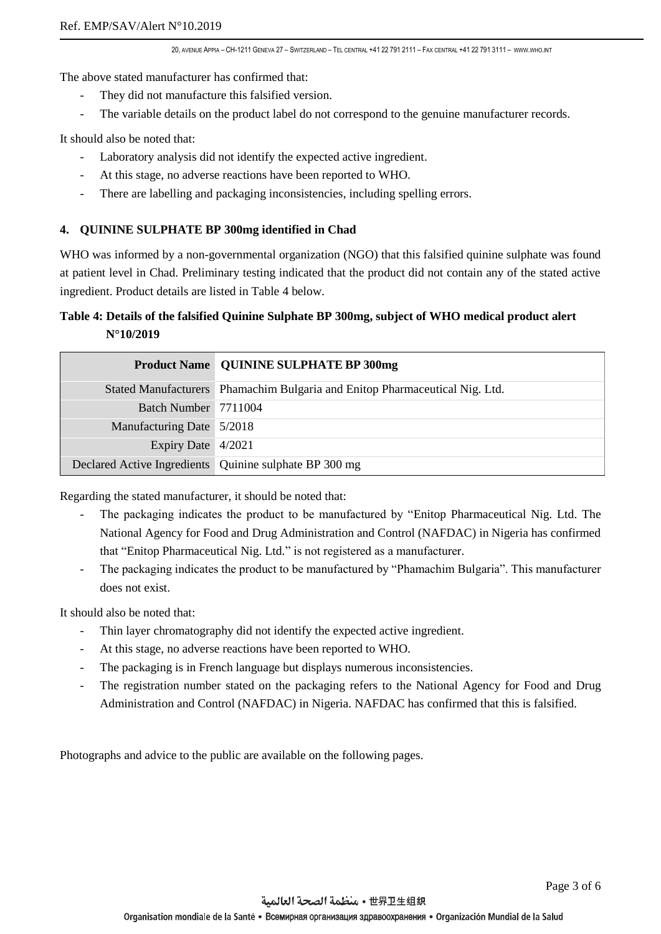The above stated manufacturer has confirmed that:

- They did not manufacture this falsified version.
- The variable details on the product label do not correspond to the genuine manufacturer records.

It should also be noted that:

- Laboratory analysis did not identify the expected active ingredient.
- At this stage, no adverse reactions have been reported to WHO.
- There are labelling and packaging inconsistencies, including spelling errors.

#### **4. QUININE SULPHATE BP 300mg identified in Chad**

WHO was informed by a non-governmental organization (NGO) that this falsified quinine sulphate was found at patient level in Chad. Preliminary testing indicated that the product did not contain any of the stated active ingredient. Product details are listed in Table 4 below.

# **Table 4: Details of the falsified Quinine Sulphate BP 300mg, subject of WHO medical product alert N°10/2019**

|                           | <b>Product Name   QUININE SULPHATE BP 300mg</b>                             |
|---------------------------|-----------------------------------------------------------------------------|
|                           | Stated Manufacturers Phamachim Bulgaria and Enitop Pharmaceutical Nig. Ltd. |
| Batch Number 7711004      |                                                                             |
| Manufacturing Date 5/2018 |                                                                             |
| Expiry Date 4/2021        |                                                                             |
|                           | Declared Active Ingredients Quinine sulphate BP 300 mg                      |

Regarding the stated manufacturer, it should be noted that:

- The packaging indicates the product to be manufactured by "Enitop Pharmaceutical Nig. Ltd. The National Agency for Food and Drug Administration and Control (NAFDAC) in Nigeria has confirmed that "Enitop Pharmaceutical Nig. Ltd." is not registered as a manufacturer.
- The packaging indicates the product to be manufactured by "Phamachim Bulgaria". This manufacturer does not exist.

It should also be noted that:

- Thin layer chromatography did not identify the expected active ingredient.
- At this stage, no adverse reactions have been reported to WHO.
- The packaging is in French language but displays numerous inconsistencies.
- The registration number stated on the packaging refers to the National Agency for Food and Drug Administration and Control (NAFDAC) in Nigeria. NAFDAC has confirmed that this is falsified.

Photographs and advice to the public are available on the following pages.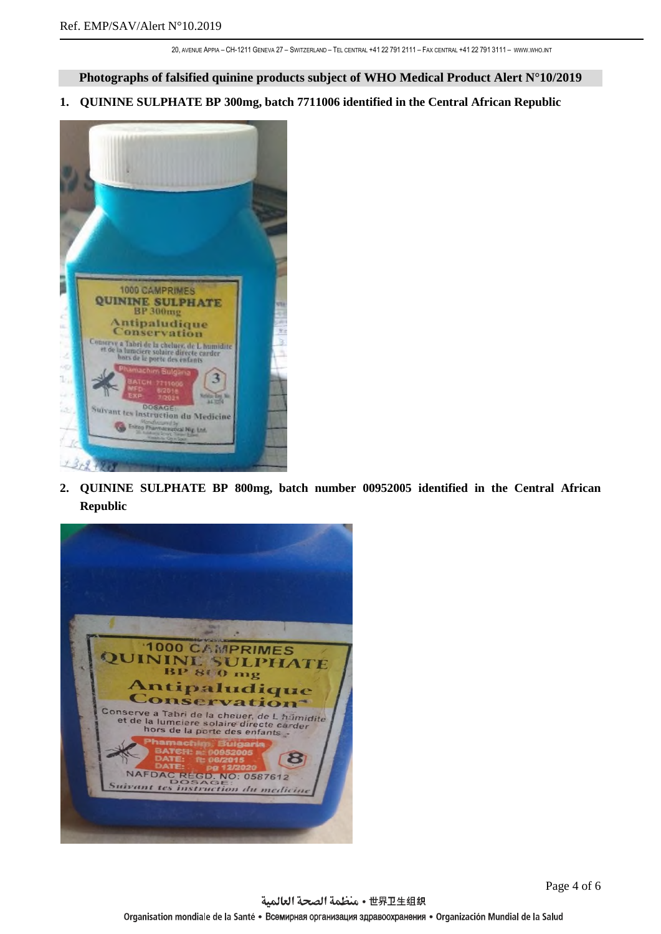**Photographs of falsified quinine products subject of WHO Medical Product Alert N°10/2019**

**1. QUININE SULPHATE BP 300mg, batch 7711006 identified in the Central African Republic** 



**2. QUININE SULPHATE BP 800mg, batch number 00952005 identified in the Central African Republic**

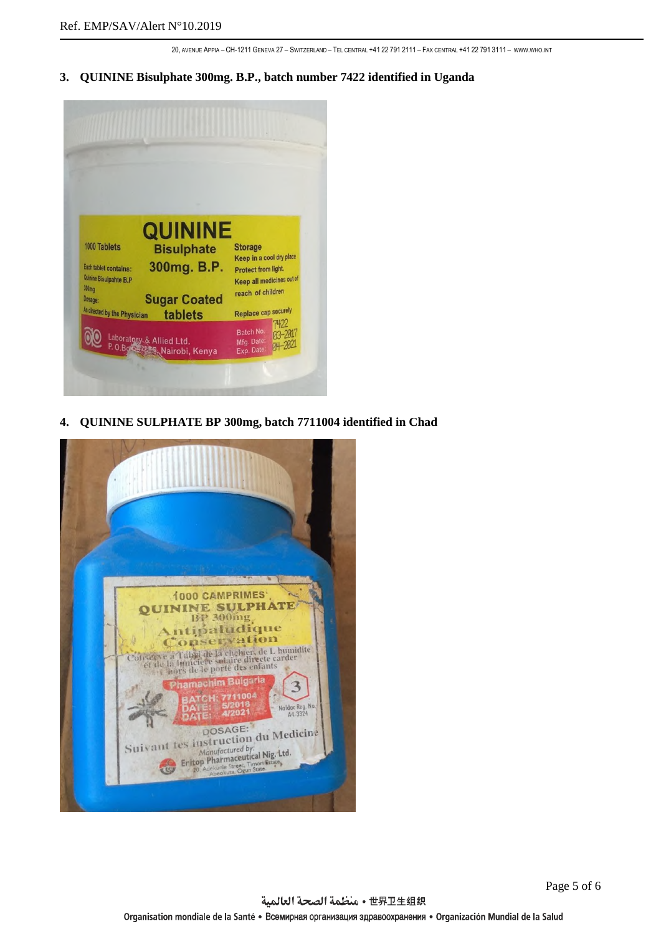**3. QUININE Bisulphate 300mg. B.P., batch number 7422 identified in Uganda** 



**4. QUININE SULPHATE BP 300mg, batch 7711004 identified in Chad**